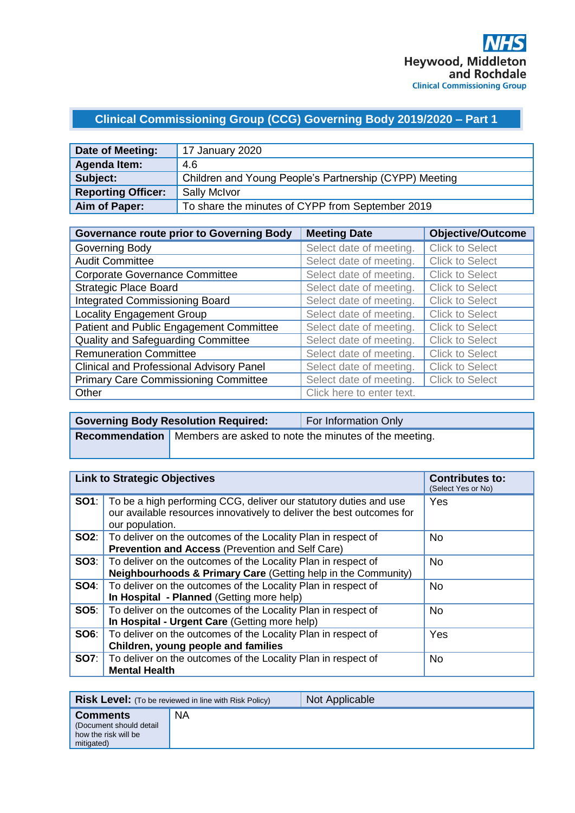# **Clinical Commissioning Group (CCG) Governing Body 2019/2020 – Part 1**

| Date of Meeting:          | 17 January 2020                                        |
|---------------------------|--------------------------------------------------------|
| Agenda Item:              | 4.6                                                    |
| Subject:                  | Children and Young People's Partnership (CYPP) Meeting |
| <b>Reporting Officer:</b> | <b>Sally McIvor</b>                                    |
| Aim of Paper:             | To share the minutes of CYPP from September 2019       |

| <b>Governance route prior to Governing Body</b> | <b>Meeting Date</b>       | <b>Objective/Outcome</b> |
|-------------------------------------------------|---------------------------|--------------------------|
| Governing Body                                  | Select date of meeting.   | <b>Click to Select</b>   |
| <b>Audit Committee</b>                          | Select date of meeting.   | <b>Click to Select</b>   |
| <b>Corporate Governance Committee</b>           | Select date of meeting.   | <b>Click to Select</b>   |
| <b>Strategic Place Board</b>                    | Select date of meeting.   | <b>Click to Select</b>   |
| <b>Integrated Commissioning Board</b>           | Select date of meeting.   | <b>Click to Select</b>   |
| <b>Locality Engagement Group</b>                | Select date of meeting.   | <b>Click to Select</b>   |
| Patient and Public Engagement Committee         | Select date of meeting.   | <b>Click to Select</b>   |
| <b>Quality and Safeguarding Committee</b>       | Select date of meeting.   | <b>Click to Select</b>   |
| <b>Remuneration Committee</b>                   | Select date of meeting.   | <b>Click to Select</b>   |
| <b>Clinical and Professional Advisory Panel</b> | Select date of meeting.   | <b>Click to Select</b>   |
| <b>Primary Care Commissioning Committee</b>     | Select date of meeting.   | <b>Click to Select</b>   |
| Other                                           | Click here to enter text. |                          |

| <b>Governing Body Resolution Required:</b> |  | For Information Only                                                        |
|--------------------------------------------|--|-----------------------------------------------------------------------------|
|                                            |  | <b>Recommendation</b> Members are asked to note the minutes of the meeting. |

| <b>Link to Strategic Objectives</b> |                                                                                                                                                               | <b>Contributes to:</b><br>(Select Yes or No) |
|-------------------------------------|---------------------------------------------------------------------------------------------------------------------------------------------------------------|----------------------------------------------|
| SO1:                                | To be a high performing CCG, deliver our statutory duties and use<br>our available resources innovatively to deliver the best outcomes for<br>our population. | Yes                                          |
| SO2:                                | To deliver on the outcomes of the Locality Plan in respect of<br><b>Prevention and Access (Prevention and Self Care)</b>                                      | <b>No</b>                                    |
| SOS:                                | To deliver on the outcomes of the Locality Plan in respect of<br>Neighbourhoods & Primary Care (Getting help in the Community)                                | <b>No</b>                                    |
| SO4:                                | To deliver on the outcomes of the Locality Plan in respect of<br>In Hospital - Planned (Getting more help)                                                    | <b>No</b>                                    |
| SO5:                                | To deliver on the outcomes of the Locality Plan in respect of<br>In Hospital - Urgent Care (Getting more help)                                                | <b>No</b>                                    |
| SO6:                                | To deliver on the outcomes of the Locality Plan in respect of<br>Children, young people and families                                                          | Yes                                          |
| <b>SO7:</b>                         | To deliver on the outcomes of the Locality Plan in respect of<br><b>Mental Health</b>                                                                         | <b>No</b>                                    |

| <b>Risk Level:</b> (To be reviewed in line with Risk Policy)                     |           | Not Applicable |
|----------------------------------------------------------------------------------|-----------|----------------|
| <b>Comments</b><br>(Document should detail<br>how the risk will be<br>mitigated) | <b>NA</b> |                |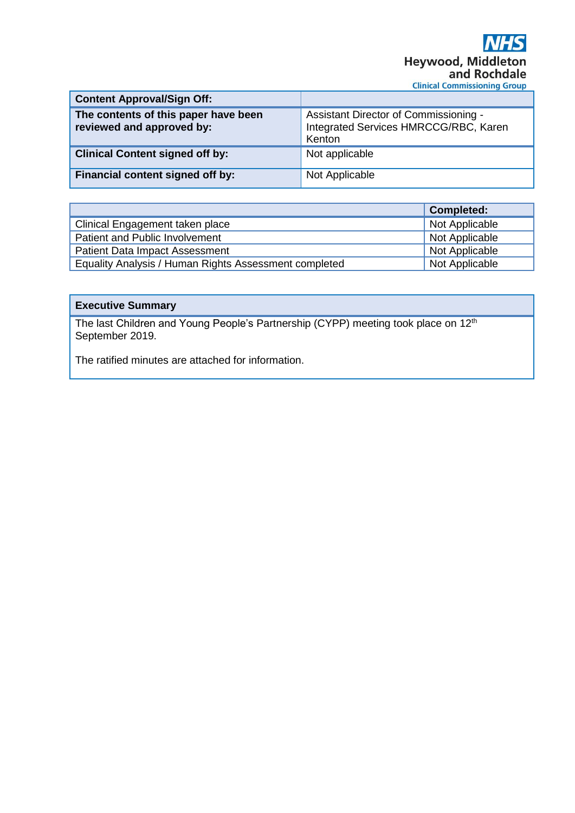| <b>Content Approval/Sign Off:</b>                                 |                                                                                          |
|-------------------------------------------------------------------|------------------------------------------------------------------------------------------|
| The contents of this paper have been<br>reviewed and approved by: | Assistant Director of Commissioning -<br>Integrated Services HMRCCG/RBC, Karen<br>Kenton |
| <b>Clinical Content signed off by:</b>                            | Not applicable                                                                           |
| Financial content signed off by:                                  | Not Applicable                                                                           |

|                                                       | <b>Completed:</b> |
|-------------------------------------------------------|-------------------|
| Clinical Engagement taken place                       | Not Applicable    |
| Patient and Public Involvement                        | Not Applicable    |
| <b>Patient Data Impact Assessment</b>                 | Not Applicable    |
| Equality Analysis / Human Rights Assessment completed | Not Applicable    |

# **Executive Summary**

The last Children and Young People's Partnership (CYPP) meeting took place on 12<sup>th</sup> September 2019.

The ratified minutes are attached for information.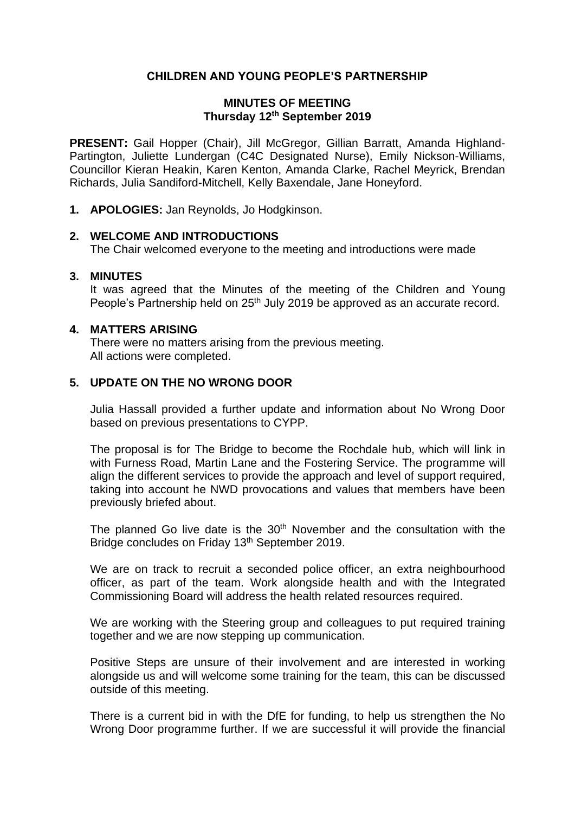## **CHILDREN AND YOUNG PEOPLE'S PARTNERSHIP**

### **MINUTES OF MEETING Thursday 12th September 2019**

**PRESENT:** Gail Hopper (Chair), Jill McGregor, Gillian Barratt, Amanda Highland-Partington, Juliette Lundergan (C4C Designated Nurse), Emily Nickson-Williams, Councillor Kieran Heakin, Karen Kenton, Amanda Clarke, Rachel Meyrick, Brendan Richards, Julia Sandiford-Mitchell, Kelly Baxendale, Jane Honeyford.

**1. APOLOGIES:** Jan Reynolds, Jo Hodgkinson.

### **2. WELCOME AND INTRODUCTIONS**

The Chair welcomed everyone to the meeting and introductions were made

### **3. MINUTES**

It was agreed that the Minutes of the meeting of the Children and Young People's Partnership held on 25<sup>th</sup> July 2019 be approved as an accurate record.

#### **4. MATTERS ARISING**

There were no matters arising from the previous meeting. All actions were completed.

## **5. UPDATE ON THE NO WRONG DOOR**

Julia Hassall provided a further update and information about No Wrong Door based on previous presentations to CYPP.

The proposal is for The Bridge to become the Rochdale hub, which will link in with Furness Road, Martin Lane and the Fostering Service. The programme will align the different services to provide the approach and level of support required, taking into account he NWD provocations and values that members have been previously briefed about.

The planned Go live date is the  $30<sup>th</sup>$  November and the consultation with the Bridge concludes on Friday 13<sup>th</sup> September 2019.

We are on track to recruit a seconded police officer, an extra neighbourhood officer, as part of the team. Work alongside health and with the Integrated Commissioning Board will address the health related resources required.

We are working with the Steering group and colleagues to put required training together and we are now stepping up communication.

Positive Steps are unsure of their involvement and are interested in working alongside us and will welcome some training for the team, this can be discussed outside of this meeting.

There is a current bid in with the DfE for funding, to help us strengthen the No Wrong Door programme further. If we are successful it will provide the financial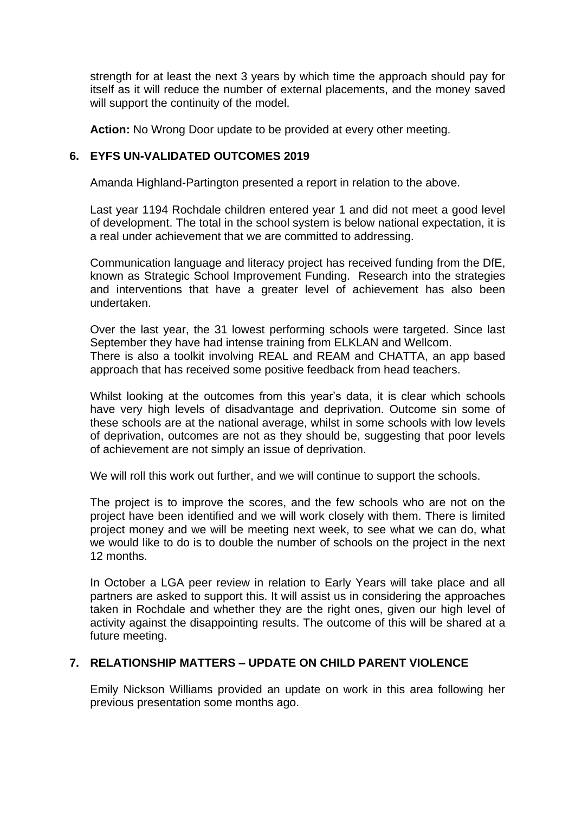strength for at least the next 3 years by which time the approach should pay for itself as it will reduce the number of external placements, and the money saved will support the continuity of the model.

**Action:** No Wrong Door update to be provided at every other meeting.

## **6. EYFS UN-VALIDATED OUTCOMES 2019**

Amanda Highland-Partington presented a report in relation to the above.

Last year 1194 Rochdale children entered year 1 and did not meet a good level of development. The total in the school system is below national expectation, it is a real under achievement that we are committed to addressing.

Communication language and literacy project has received funding from the DfE, known as Strategic School Improvement Funding. Research into the strategies and interventions that have a greater level of achievement has also been undertaken.

Over the last year, the 31 lowest performing schools were targeted. Since last September they have had intense training from ELKLAN and Wellcom. There is also a toolkit involving REAL and REAM and CHATTA, an app based approach that has received some positive feedback from head teachers.

Whilst looking at the outcomes from this year's data, it is clear which schools have very high levels of disadvantage and deprivation. Outcome sin some of these schools are at the national average, whilst in some schools with low levels of deprivation, outcomes are not as they should be, suggesting that poor levels of achievement are not simply an issue of deprivation.

We will roll this work out further, and we will continue to support the schools.

The project is to improve the scores, and the few schools who are not on the project have been identified and we will work closely with them. There is limited project money and we will be meeting next week, to see what we can do, what we would like to do is to double the number of schools on the project in the next 12 months.

In October a LGA peer review in relation to Early Years will take place and all partners are asked to support this. It will assist us in considering the approaches taken in Rochdale and whether they are the right ones, given our high level of activity against the disappointing results. The outcome of this will be shared at a future meeting.

## **7. RELATIONSHIP MATTERS – UPDATE ON CHILD PARENT VIOLENCE**

Emily Nickson Williams provided an update on work in this area following her previous presentation some months ago.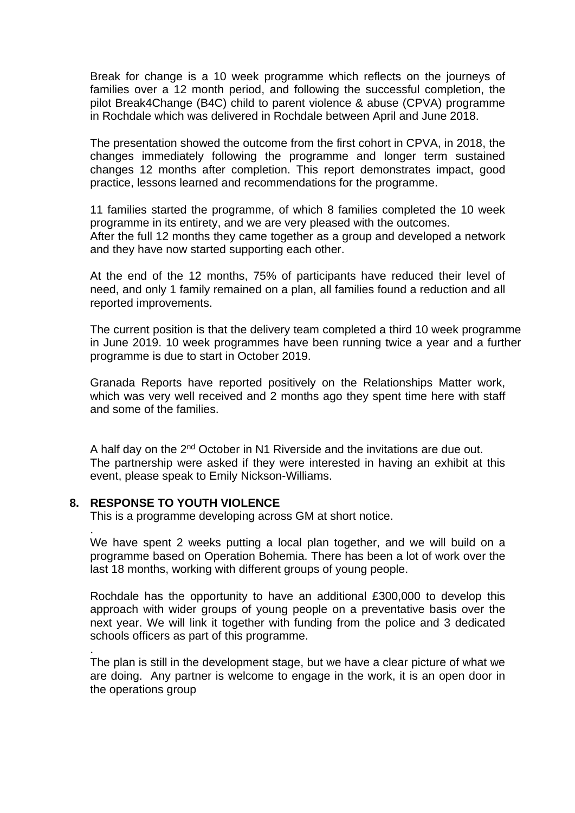Break for change is a 10 week programme which reflects on the journeys of families over a 12 month period, and following the successful completion, the pilot Break4Change (B4C) child to parent violence & abuse (CPVA) programme in Rochdale which was delivered in Rochdale between April and June 2018.

The presentation showed the outcome from the first cohort in CPVA, in 2018, the changes immediately following the programme and longer term sustained changes 12 months after completion. This report demonstrates impact, good practice, lessons learned and recommendations for the programme.

11 families started the programme, of which 8 families completed the 10 week programme in its entirety, and we are very pleased with the outcomes. After the full 12 months they came together as a group and developed a network and they have now started supporting each other.

At the end of the 12 months, 75% of participants have reduced their level of need, and only 1 family remained on a plan, all families found a reduction and all reported improvements.

The current position is that the delivery team completed a third 10 week programme in June 2019. 10 week programmes have been running twice a year and a further programme is due to start in October 2019.

Granada Reports have reported positively on the Relationships Matter work, which was very well received and 2 months ago they spent time here with staff and some of the families.

A half day on the 2<sup>nd</sup> October in N1 Riverside and the invitations are due out. The partnership were asked if they were interested in having an exhibit at this event, please speak to Emily Nickson-Williams.

### **8. RESPONSE TO YOUTH VIOLENCE**

.

.

This is a programme developing across GM at short notice.

We have spent 2 weeks putting a local plan together, and we will build on a programme based on Operation Bohemia. There has been a lot of work over the last 18 months, working with different groups of young people.

Rochdale has the opportunity to have an additional £300,000 to develop this approach with wider groups of young people on a preventative basis over the next year. We will link it together with funding from the police and 3 dedicated schools officers as part of this programme.

The plan is still in the development stage, but we have a clear picture of what we are doing. Any partner is welcome to engage in the work, it is an open door in the operations group